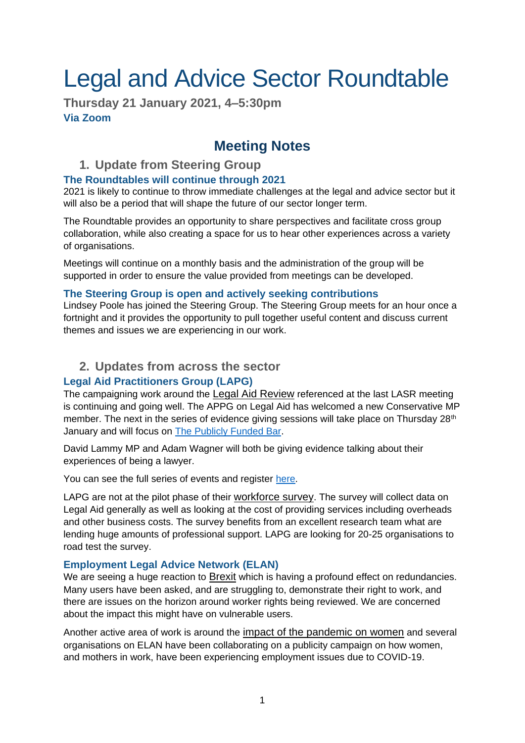# Legal and Advice Sector Roundtable

**Thursday 21 January 2021, 4–5:30pm Via Zoom**

## **Meeting Notes**

## **1. Update from Steering Group**

## **The Roundtables will continue through 2021**

2021 is likely to continue to throw immediate challenges at the legal and advice sector but it will also be a period that will shape the future of our sector longer term.

The Roundtable provides an opportunity to share perspectives and facilitate cross group collaboration, while also creating a space for us to hear other experiences across a variety of organisations.

Meetings will continue on a monthly basis and the administration of the group will be supported in order to ensure the value provided from meetings can be developed.

#### **The Steering Group is open and actively seeking contributions**

Lindsey Poole has joined the Steering Group. The Steering Group meets for an hour once a fortnight and it provides the opportunity to pull together useful content and discuss current themes and issues we are experiencing in our work.

## **2. Updates from across the sector**

## **Legal Aid Practitioners Group (LAPG)**

The campaigning work around the Legal Aid Review referenced at the last LASR meeting is continuing and going well. The APPG on Legal Aid has welcomed a new Conservative MP member. The next in the series of evidence giving sessions will take place on Thursday  $28<sup>th</sup>$ January and will focus on [The Publicly Funded Bar.](https://www.eventbrite.co.uk/e/the-westminster-commission-on-legal-aid-the-publicly-funded-bar-tickets-128605653973?aff=)

David Lammy MP and Adam Wagner will both be giving evidence talking about their experiences of being a lawyer.

You can see the full series of events and register [here.](https://www.eventbrite.co.uk/o/legal-aid-practitioners-group-lapg-4449519123)

LAPG are not at the pilot phase of their workforce survey. The survey will collect data on Legal Aid generally as well as looking at the cost of providing services including overheads and other business costs. The survey benefits from an excellent research team what are lending huge amounts of professional support. LAPG are looking for 20-25 organisations to road test the survey.

## **Employment Legal Advice Network (ELAN)**

We are seeing a huge reaction to Brexit which is having a profound effect on redundancies. Many users have been asked, and are struggling to, demonstrate their right to work, and there are issues on the horizon around worker rights being reviewed. We are concerned about the impact this might have on vulnerable users.

Another active area of work is around the impact of the pandemic on women and several organisations on ELAN have been collaborating on a publicity campaign on how women, and mothers in work, have been experiencing employment issues due to COVID-19.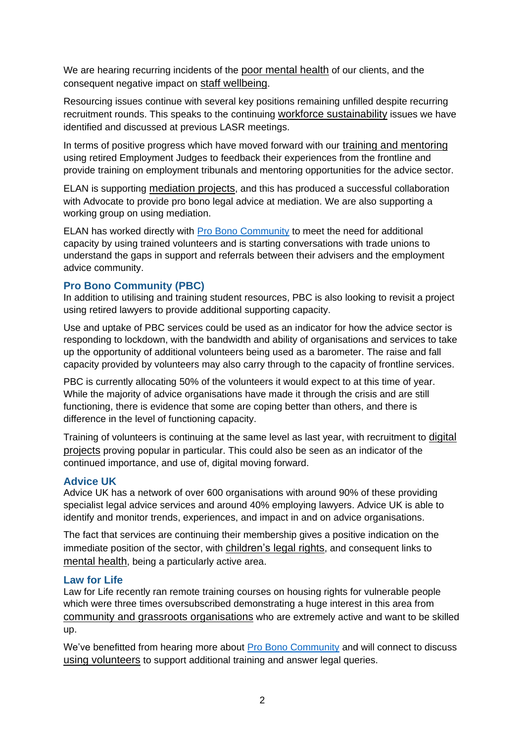We are hearing recurring incidents of the poor mental health of our clients, and the consequent negative impact on staff wellbeing.

Resourcing issues continue with several key positions remaining unfilled despite recurring recruitment rounds. This speaks to the continuing workforce sustainability issues we have identified and discussed at previous LASR meetings.

In terms of positive progress which have moved forward with our training and mentoring using retired Employment Judges to feedback their experiences from the frontline and provide training on employment tribunals and mentoring opportunities for the advice sector.

ELAN is supporting mediation projects, and this has produced a successful collaboration with Advocate to provide pro bono legal advice at mediation. We are also supporting a working group on using mediation.

ELAN has worked directly with [Pro Bono Community](#page-1-0) to meet the need for additional capacity by using trained volunteers and is starting conversations with trade unions to understand the gaps in support and referrals between their advisers and the employment advice community.

#### <span id="page-1-0"></span>**Pro Bono Community (PBC)**

In addition to utilising and training student resources, PBC is also looking to revisit a project using retired lawyers to provide additional supporting capacity.

Use and uptake of PBC services could be used as an indicator for how the advice sector is responding to lockdown, with the bandwidth and ability of organisations and services to take up the opportunity of additional volunteers being used as a barometer. The raise and fall capacity provided by volunteers may also carry through to the capacity of frontline services.

PBC is currently allocating 50% of the volunteers it would expect to at this time of year. While the majority of advice organisations have made it through the crisis and are still functioning, there is evidence that some are coping better than others, and there is difference in the level of functioning capacity.

Training of volunteers is continuing at the same level as last year, with recruitment to digital projects proving popular in particular. This could also be seen as an indicator of the continued importance, and use of, digital moving forward.

#### **Advice UK**

Advice UK has a network of over 600 organisations with around 90% of these providing specialist legal advice services and around 40% employing lawyers. Advice UK is able to identify and monitor trends, experiences, and impact in and on advice organisations.

The fact that services are continuing their membership gives a positive indication on the immediate position of the sector, with children's legal rights, and consequent links to mental health, being a particularly active area.

#### **Law for Life**

Law for Life recently ran remote training courses on housing rights for vulnerable people which were three times oversubscribed demonstrating a huge interest in this area from community and grassroots organisations who are extremely active and want to be skilled up.

We've benefitted from hearing more about [Pro Bono Community](#page-1-0) and will connect to discuss using volunteers to support additional training and answer legal queries.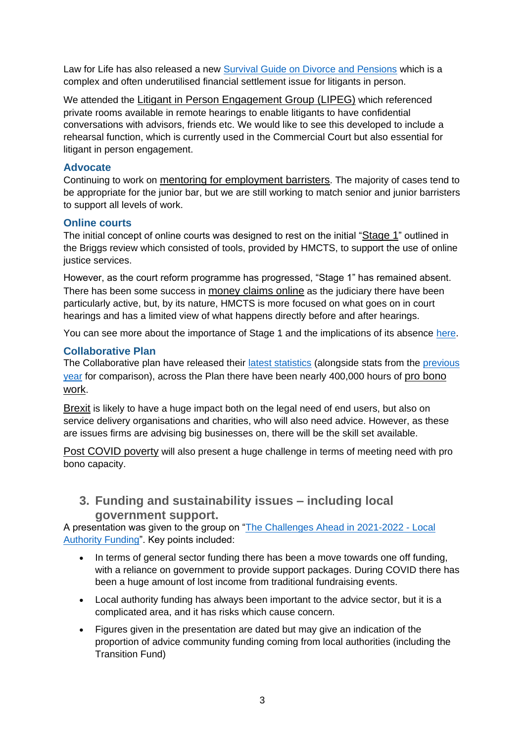Law for Life has also released a new [Survival Guide on Divorce and Pensions](https://www.advicenow.org.uk/guides/survival-guide-pensions-divorce) which is a complex and often underutilised financial settlement issue for litigants in person.

We attended the Litigant in Person Engagement Group (LIPEG) which referenced private rooms available in remote hearings to enable litigants to have confidential conversations with advisors, friends etc. We would like to see this developed to include a rehearsal function, which is currently used in the Commercial Court but also essential for litigant in person engagement.

#### **Advocate**

Continuing to work on mentoring for employment barristers. The majority of cases tend to be appropriate for the junior bar, but we are still working to match senior and junior barristers to support all levels of work.

#### **Online courts**

The initial concept of online courts was designed to rest on the initial "Stage 1" outlined in the Briggs review which consisted of tools, provided by HMCTS, to support the use of online justice services.

However, as the court reform programme has progressed, "Stage 1" has remained absent. There has been some success in money claims online as the judiciary there have been particularly active, but, by its nature, HMCTS is more focused on what goes on in court hearings and has a limited view of what happens directly before and after hearings.

You can see more about the importance of Stage 1 and the implications of its absence [here.](https://twitter.com/probonopaul/status/1349391692542210049)

#### **Collaborative Plan**

The Collaborative plan have released their [latest statistics](http://probonoplan.uk/wp-content/uploads/2021/01/CP-infographic-2020.pdf) (alongside stats from the [previous](http://probonoplan.uk/what/projects/) [year](http://probonoplan.uk/what/projects/) for comparison), across the Plan there have been nearly 400,000 hours of pro bono work.

Brexit is likely to have a huge impact both on the legal need of end users, but also on service delivery organisations and charities, who will also need advice. However, as these are issues firms are advising big businesses on, there will be the skill set available.

Post COVID poverty will also present a huge challenge in terms of meeting need with pro bono capacity.

**3. Funding and sustainability issues – including local government support.**

A presentation was given to the group on ["The Challenges Ahead in 2021-2022 -](https://drive.google.com/file/d/1grAAJu-k_3jNWac9qaSmKH5uz5N_4ROT/view?usp=sharing) Local [Authority Funding"](https://drive.google.com/file/d/1grAAJu-k_3jNWac9qaSmKH5uz5N_4ROT/view?usp=sharing). Key points included:

- In terms of general sector funding there has been a move towards one off funding, with a reliance on government to provide support packages. During COVID there has been a huge amount of lost income from traditional fundraising events.
- Local authority funding has always been important to the advice sector, but it is a complicated area, and it has risks which cause concern.
- Figures given in the presentation are dated but may give an indication of the proportion of advice community funding coming from local authorities (including the Transition Fund)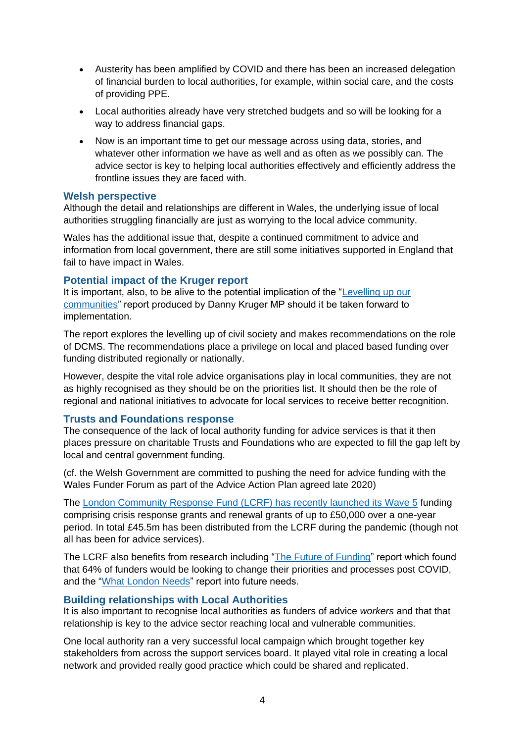- Austerity has been amplified by COVID and there has been an increased delegation of financial burden to local authorities, for example, within social care, and the costs of providing PPE.
- Local authorities already have very stretched budgets and so will be looking for a way to address financial gaps.
- Now is an important time to get our message across using data, stories, and whatever other information we have as well and as often as we possibly can. The advice sector is key to helping local authorities effectively and efficiently address the frontline issues they are faced with.

#### **Welsh perspective**

Although the detail and relationships are different in Wales, the underlying issue of local authorities struggling financially are just as worrying to the local advice community.

Wales has the additional issue that, despite a continued commitment to advice and information from local government, there are still some initiatives supported in England that fail to have impact in Wales.

#### **Potential impact of the Kruger report**

It is important, also, to be alive to the potential implication of the "Levelling up our [communities"](https://www.dannykruger.org.uk/communities-report) report produced by Danny Kruger MP should it be taken forward to implementation.

The report explores the levelling up of civil society and makes recommendations on the role of DCMS. The recommendations place a privilege on local and placed based funding over funding distributed regionally or nationally.

However, despite the vital role advice organisations play in local communities, they are not as highly recognised as they should be on the priorities list. It should then be the role of regional and national initiatives to advocate for local services to receive better recognition.

#### **Trusts and Foundations response**

The consequence of the lack of local authority funding for advice services is that it then places pressure on charitable Trusts and Foundations who are expected to fill the gap left by local and central government funding.

(cf. the Welsh Government are committed to pushing the need for advice funding with the Wales Funder Forum as part of the Advice Action Plan agreed late 2020)

The London Community Response Fund [\(LCRF\) has recently launched its Wave](https://londoncommunityresponsefund.org.uk/) 5 funding comprising crisis response grants and renewal grants of up to £50,000 over a one-year period. In total £45.5m has been distributed from the LCRF during the pandemic (though not all has been for advice services).

The LCRF also benefits from research including ["The Future of Funding"](https://londonfunders.org.uk/sites/default/files/images/The%20Future%20of%20Funding_0.pdf) report which found that 64% of funders would be looking to change their priorities and processes post COVID, and the ["What London Needs"](https://londonfunders.org.uk/what-we-do/events-training/what-london-needs-report-launch) report into future needs.

#### **Building relationships with Local Authorities**

It is also important to recognise local authorities as funders of advice *workers* and that that relationship is key to the advice sector reaching local and vulnerable communities.

One local authority ran a very successful local campaign which brought together key stakeholders from across the support services board. It played vital role in creating a local network and provided really good practice which could be shared and replicated.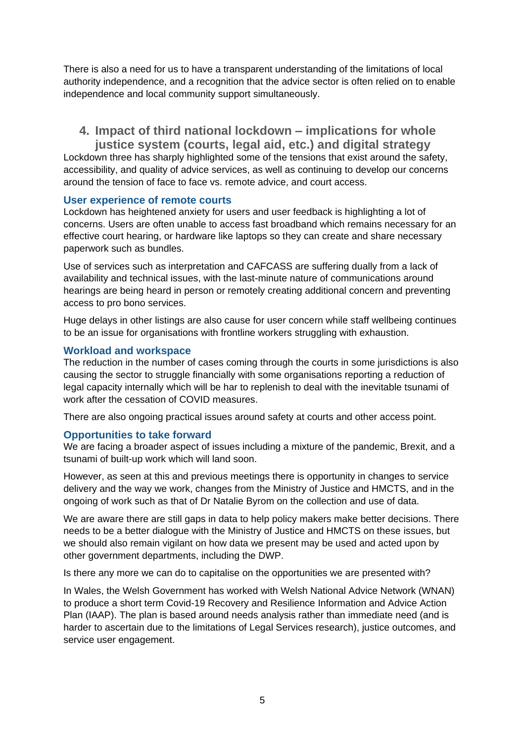There is also a need for us to have a transparent understanding of the limitations of local authority independence, and a recognition that the advice sector is often relied on to enable independence and local community support simultaneously.

## **4. Impact of third national lockdown – implications for whole justice system (courts, legal aid, etc.) and digital strategy**

Lockdown three has sharply highlighted some of the tensions that exist around the safety, accessibility, and quality of advice services, as well as continuing to develop our concerns around the tension of face to face vs. remote advice, and court access.

#### **User experience of remote courts**

Lockdown has heightened anxiety for users and user feedback is highlighting a lot of concerns. Users are often unable to access fast broadband which remains necessary for an effective court hearing, or hardware like laptops so they can create and share necessary paperwork such as bundles.

Use of services such as interpretation and CAFCASS are suffering dually from a lack of availability and technical issues, with the last-minute nature of communications around hearings are being heard in person or remotely creating additional concern and preventing access to pro bono services.

Huge delays in other listings are also cause for user concern while staff wellbeing continues to be an issue for organisations with frontline workers struggling with exhaustion.

#### **Workload and workspace**

The reduction in the number of cases coming through the courts in some jurisdictions is also causing the sector to struggle financially with some organisations reporting a reduction of legal capacity internally which will be har to replenish to deal with the inevitable tsunami of work after the cessation of COVID measures.

There are also ongoing practical issues around safety at courts and other access point.

#### **Opportunities to take forward**

We are facing a broader aspect of issues including a mixture of the pandemic, Brexit, and a tsunami of built-up work which will land soon.

However, as seen at this and previous meetings there is opportunity in changes to service delivery and the way we work, changes from the Ministry of Justice and HMCTS, and in the ongoing of work such as that of Dr Natalie Byrom on the collection and use of data.

We are aware there are still gaps in data to help policy makers make better decisions. There needs to be a better dialogue with the Ministry of Justice and HMCTS on these issues, but we should also remain vigilant on how data we present may be used and acted upon by other government departments, including the DWP.

Is there any more we can do to capitalise on the opportunities we are presented with?

In Wales, the Welsh Government has worked with Welsh National Advice Network (WNAN) to produce a short term Covid-19 Recovery and Resilience Information and Advice Action Plan (IAAP). The plan is based around needs analysis rather than immediate need (and is harder to ascertain due to the limitations of Legal Services research), justice outcomes, and service user engagement.